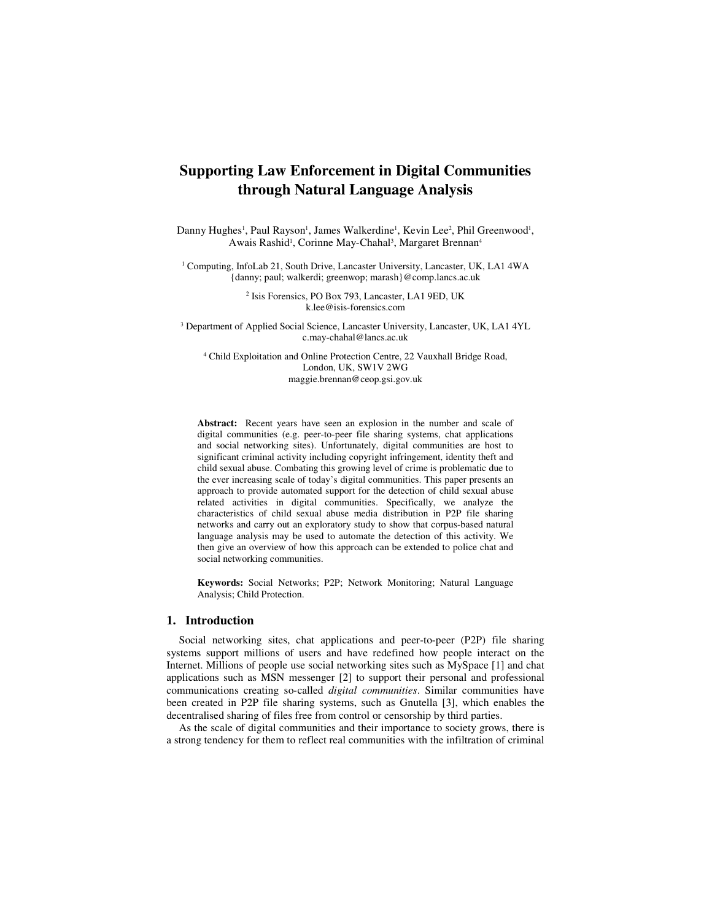# **Supporting Law Enforcement in Digital Communities through Natural Language Analysis**

Danny Hughes<sup>1</sup>, Paul Rayson<sup>1</sup>, James Walkerdine<sup>1</sup>, Kevin Lee<sup>2</sup>, Phil Greenwood<sup>1</sup>, Awais Rashid<sup>1</sup>, Corinne May-Chahal<sup>3</sup>, Margaret Brennan<sup>4</sup>

<sup>1</sup> Computing, InfoLab 21, South Drive, Lancaster University, Lancaster, UK, LA1 4WA {danny; paul; walkerdi; greenwop; marash}@comp.lancs.ac.uk

> 2 Isis Forensics, PO Box 793, Lancaster, LA1 9ED, UK k.lee@isis-forensics.com

<sup>3</sup> Department of Applied Social Science, Lancaster University, Lancaster, UK, LA1 4YL c.may-chahal@lancs.ac.uk

4 Child Exploitation and Online Protection Centre, 22 Vauxhall Bridge Road, London, UK, SW1V 2WG maggie.brennan@ceop.gsi.gov.uk

**Abstract:** Recent years have seen an explosion in the number and scale of digital communities (e.g. peer-to-peer file sharing systems, chat applications and social networking sites). Unfortunately, digital communities are host to significant criminal activity including copyright infringement, identity theft and child sexual abuse. Combating this growing level of crime is problematic due to the ever increasing scale of today's digital communities. This paper presents an approach to provide automated support for the detection of child sexual abuse related activities in digital communities. Specifically, we analyze the characteristics of child sexual abuse media distribution in P2P file sharing networks and carry out an exploratory study to show that corpus-based natural language analysis may be used to automate the detection of this activity. We then give an overview of how this approach can be extended to police chat and social networking communities.

**Keywords:** Social Networks; P2P; Network Monitoring; Natural Language Analysis; Child Protection.

## **1. Introduction**

Social networking sites, chat applications and peer-to-peer (P2P) file sharing systems support millions of users and have redefined how people interact on the Internet. Millions of people use social networking sites such as MySpace [1] and chat applications such as MSN messenger [2] to support their personal and professional communications creating so-called *digital communities*. Similar communities have been created in P2P file sharing systems, such as Gnutella [3], which enables the decentralised sharing of files free from control or censorship by third parties.

As the scale of digital communities and their importance to society grows, there is a strong tendency for them to reflect real communities with the infiltration of criminal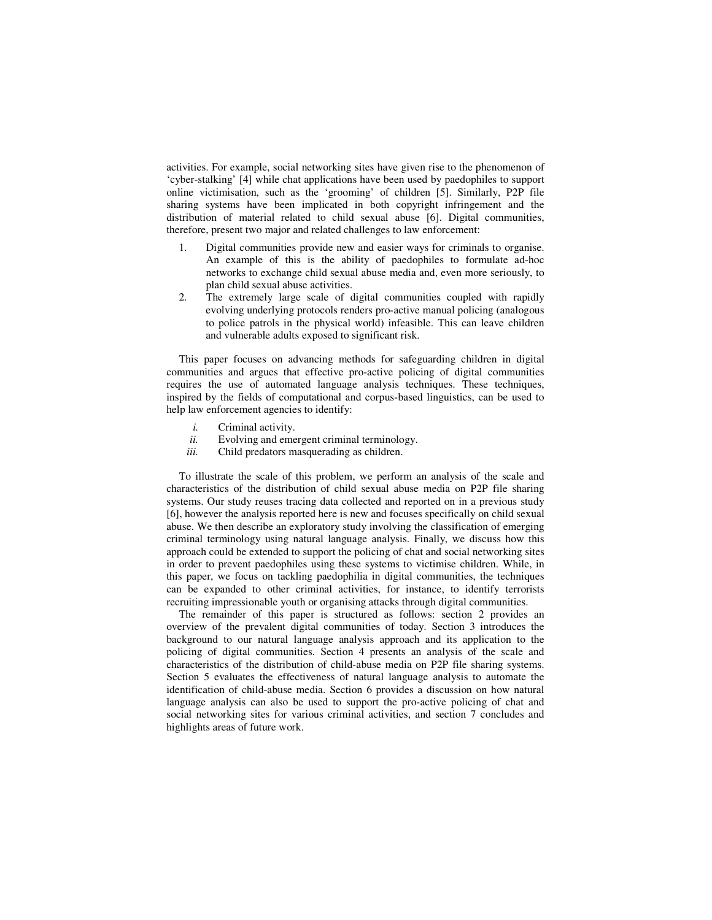activities. For example, social networking sites have given rise to the phenomenon of 'cyber-stalking' [4] while chat applications have been used by paedophiles to support online victimisation, such as the 'grooming' of children [5]. Similarly, P2P file sharing systems have been implicated in both copyright infringement and the distribution of material related to child sexual abuse [6]. Digital communities, therefore, present two major and related challenges to law enforcement:

- 1. Digital communities provide new and easier ways for criminals to organise. An example of this is the ability of paedophiles to formulate ad-hoc networks to exchange child sexual abuse media and, even more seriously, to plan child sexual abuse activities.
- 2. The extremely large scale of digital communities coupled with rapidly evolving underlying protocols renders pro-active manual policing (analogous to police patrols in the physical world) infeasible. This can leave children and vulnerable adults exposed to significant risk.

This paper focuses on advancing methods for safeguarding children in digital communities and argues that effective pro-active policing of digital communities requires the use of automated language analysis techniques. These techniques, inspired by the fields of computational and corpus-based linguistics, can be used to help law enforcement agencies to identify:

- *i.* Criminal activity.
- *ii.* Evolving and emergent criminal terminology.
- *iii.* Child predators masquerading as children.

To illustrate the scale of this problem, we perform an analysis of the scale and characteristics of the distribution of child sexual abuse media on P2P file sharing systems. Our study reuses tracing data collected and reported on in a previous study [6], however the analysis reported here is new and focuses specifically on child sexual abuse. We then describe an exploratory study involving the classification of emerging criminal terminology using natural language analysis. Finally, we discuss how this approach could be extended to support the policing of chat and social networking sites in order to prevent paedophiles using these systems to victimise children. While, in this paper, we focus on tackling paedophilia in digital communities, the techniques can be expanded to other criminal activities, for instance, to identify terrorists recruiting impressionable youth or organising attacks through digital communities.

The remainder of this paper is structured as follows: section 2 provides an overview of the prevalent digital communities of today. Section 3 introduces the background to our natural language analysis approach and its application to the policing of digital communities. Section 4 presents an analysis of the scale and characteristics of the distribution of child-abuse media on P2P file sharing systems. Section 5 evaluates the effectiveness of natural language analysis to automate the identification of child-abuse media. Section 6 provides a discussion on how natural language analysis can also be used to support the pro-active policing of chat and social networking sites for various criminal activities, and section 7 concludes and highlights areas of future work.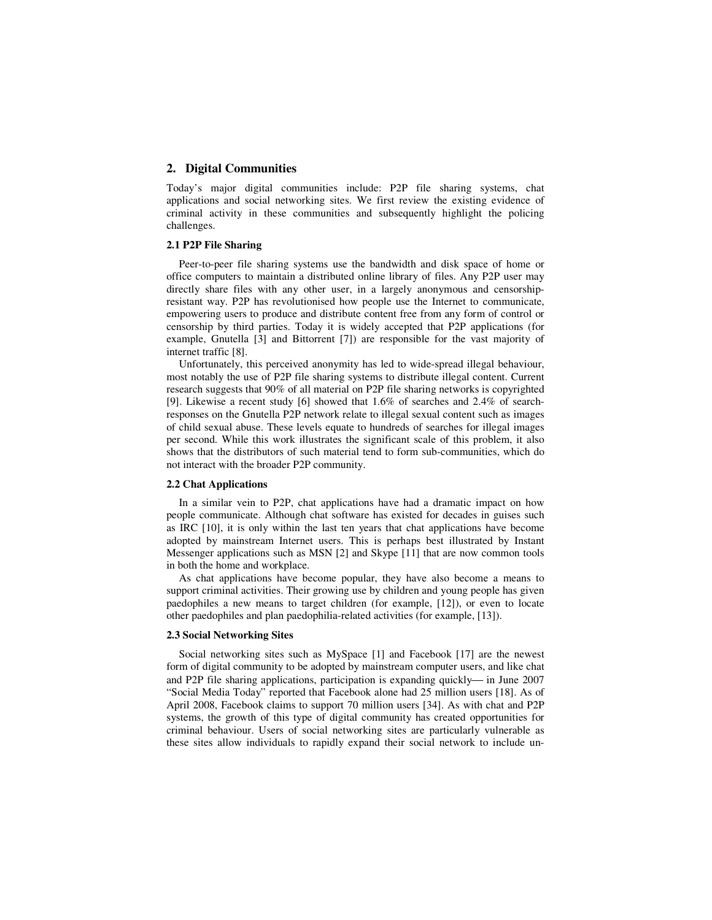## **2. Digital Communities**

Today's major digital communities include: P2P file sharing systems, chat applications and social networking sites. We first review the existing evidence of criminal activity in these communities and subsequently highlight the policing challenges.

#### **2.1 P2P File Sharing**

Peer-to-peer file sharing systems use the bandwidth and disk space of home or office computers to maintain a distributed online library of files. Any P2P user may directly share files with any other user, in a largely anonymous and censorshipresistant way. P2P has revolutionised how people use the Internet to communicate, empowering users to produce and distribute content free from any form of control or censorship by third parties. Today it is widely accepted that P2P applications (for example, Gnutella [3] and Bittorrent [7]) are responsible for the vast majority of internet traffic [8].

Unfortunately, this perceived anonymity has led to wide-spread illegal behaviour, most notably the use of P2P file sharing systems to distribute illegal content. Current research suggests that 90% of all material on P2P file sharing networks is copyrighted [9]. Likewise a recent study [6] showed that 1.6% of searches and 2.4% of searchresponses on the Gnutella P2P network relate to illegal sexual content such as images of child sexual abuse. These levels equate to hundreds of searches for illegal images per second. While this work illustrates the significant scale of this problem, it also shows that the distributors of such material tend to form sub-communities, which do not interact with the broader P2P community.

## **2.2 Chat Applications**

In a similar vein to P2P, chat applications have had a dramatic impact on how people communicate. Although chat software has existed for decades in guises such as IRC [10], it is only within the last ten years that chat applications have become adopted by mainstream Internet users. This is perhaps best illustrated by Instant Messenger applications such as MSN [2] and Skype [11] that are now common tools in both the home and workplace.

As chat applications have become popular, they have also become a means to support criminal activities. Their growing use by children and young people has given paedophiles a new means to target children (for example, [12]), or even to locate other paedophiles and plan paedophilia-related activities (for example, [13]).

## **2.3 Social Networking Sites**

Social networking sites such as MySpace [1] and Facebook [17] are the newest form of digital community to be adopted by mainstream computer users, and like chat and P2P file sharing applications, participation is expanding quickly— in June 2007 "Social Media Today" reported that Facebook alone had 25 million users [18]. As of April 2008, Facebook claims to support 70 million users [34]. As with chat and P2P systems, the growth of this type of digital community has created opportunities for criminal behaviour. Users of social networking sites are particularly vulnerable as these sites allow individuals to rapidly expand their social network to include un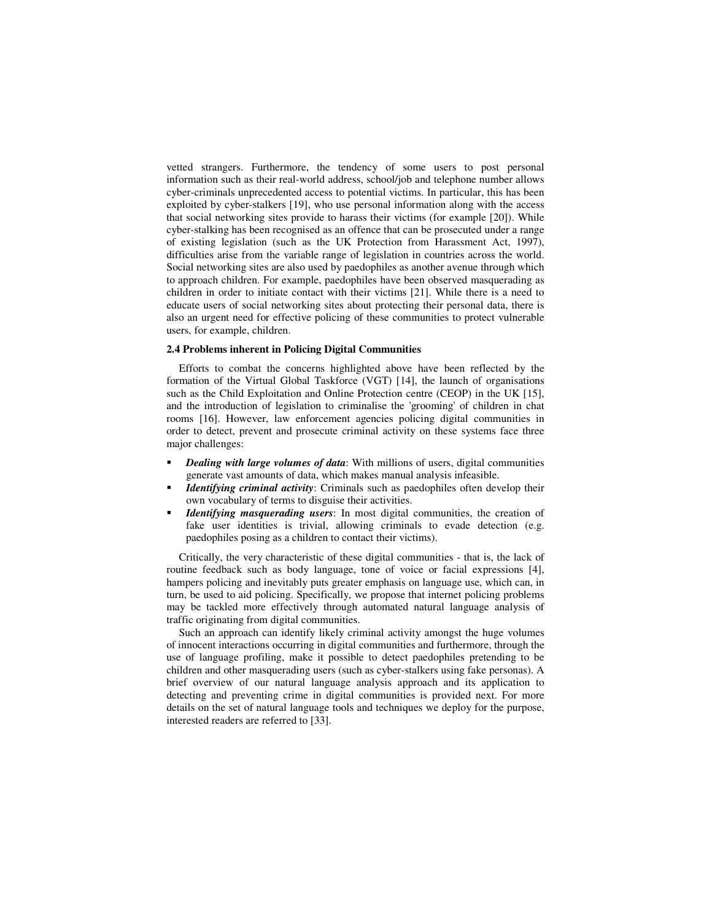vetted strangers. Furthermore, the tendency of some users to post personal information such as their real-world address, school/job and telephone number allows cyber-criminals unprecedented access to potential victims. In particular, this has been exploited by cyber-stalkers [19], who use personal information along with the access that social networking sites provide to harass their victims (for example [20]). While cyber-stalking has been recognised as an offence that can be prosecuted under a range of existing legislation (such as the UK Protection from Harassment Act, 1997), difficulties arise from the variable range of legislation in countries across the world. Social networking sites are also used by paedophiles as another avenue through which to approach children. For example, paedophiles have been observed masquerading as children in order to initiate contact with their victims [21]. While there is a need to educate users of social networking sites about protecting their personal data, there is also an urgent need for effective policing of these communities to protect vulnerable users, for example, children.

#### **2.4 Problems inherent in Policing Digital Communities**

Efforts to combat the concerns highlighted above have been reflected by the formation of the Virtual Global Taskforce (VGT) [14], the launch of organisations such as the Child Exploitation and Online Protection centre (CEOP) in the UK [15], and the introduction of legislation to criminalise the 'grooming' of children in chat rooms [16]. However, law enforcement agencies policing digital communities in order to detect, prevent and prosecute criminal activity on these systems face three major challenges:

- *Dealing with large volumes of data*: With millions of users, digital communities generate vast amounts of data, which makes manual analysis infeasible.
- *Identifying criminal activity*: Criminals such as paedophiles often develop their own vocabulary of terms to disguise their activities.
- *Identifying masquerading users*: In most digital communities, the creation of fake user identities is trivial, allowing criminals to evade detection (e.g. paedophiles posing as a children to contact their victims).

Critically, the very characteristic of these digital communities - that is, the lack of routine feedback such as body language, tone of voice or facial expressions [4], hampers policing and inevitably puts greater emphasis on language use, which can, in turn, be used to aid policing. Specifically, we propose that internet policing problems may be tackled more effectively through automated natural language analysis of traffic originating from digital communities.

Such an approach can identify likely criminal activity amongst the huge volumes of innocent interactions occurring in digital communities and furthermore, through the use of language profiling, make it possible to detect paedophiles pretending to be children and other masquerading users (such as cyber-stalkers using fake personas). A brief overview of our natural language analysis approach and its application to detecting and preventing crime in digital communities is provided next. For more details on the set of natural language tools and techniques we deploy for the purpose, interested readers are referred to [33].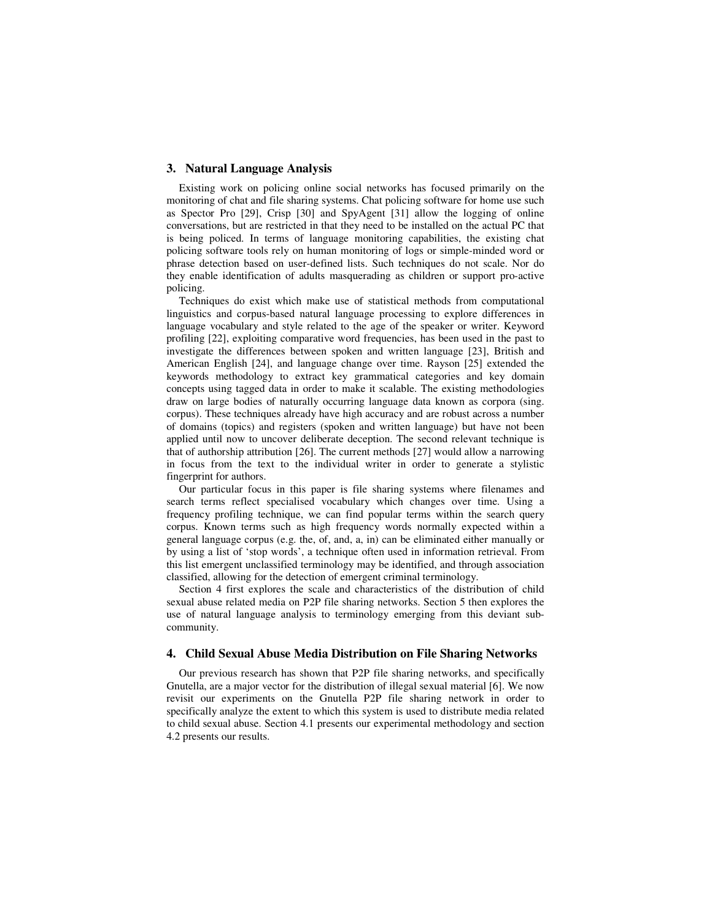## **3. Natural Language Analysis**

Existing work on policing online social networks has focused primarily on the monitoring of chat and file sharing systems. Chat policing software for home use such as Spector Pro [29], Crisp [30] and SpyAgent [31] allow the logging of online conversations, but are restricted in that they need to be installed on the actual PC that is being policed. In terms of language monitoring capabilities, the existing chat policing software tools rely on human monitoring of logs or simple-minded word or phrase detection based on user-defined lists. Such techniques do not scale. Nor do they enable identification of adults masquerading as children or support pro-active policing.

Techniques do exist which make use of statistical methods from computational linguistics and corpus-based natural language processing to explore differences in language vocabulary and style related to the age of the speaker or writer. Keyword profiling [22], exploiting comparative word frequencies, has been used in the past to investigate the differences between spoken and written language [23], British and American English [24], and language change over time. Rayson [25] extended the keywords methodology to extract key grammatical categories and key domain concepts using tagged data in order to make it scalable. The existing methodologies draw on large bodies of naturally occurring language data known as corpora (sing. corpus). These techniques already have high accuracy and are robust across a number of domains (topics) and registers (spoken and written language) but have not been applied until now to uncover deliberate deception. The second relevant technique is that of authorship attribution [26]. The current methods [27] would allow a narrowing in focus from the text to the individual writer in order to generate a stylistic fingerprint for authors.

Our particular focus in this paper is file sharing systems where filenames and search terms reflect specialised vocabulary which changes over time. Using a frequency profiling technique, we can find popular terms within the search query corpus. Known terms such as high frequency words normally expected within a general language corpus (e.g. the, of, and, a, in) can be eliminated either manually or by using a list of 'stop words', a technique often used in information retrieval. From this list emergent unclassified terminology may be identified, and through association classified, allowing for the detection of emergent criminal terminology.

Section 4 first explores the scale and characteristics of the distribution of child sexual abuse related media on P2P file sharing networks. Section 5 then explores the use of natural language analysis to terminology emerging from this deviant subcommunity.

## **4. Child Sexual Abuse Media Distribution on File Sharing Networks**

Our previous research has shown that P2P file sharing networks, and specifically Gnutella, are a major vector for the distribution of illegal sexual material [6]. We now revisit our experiments on the Gnutella P2P file sharing network in order to specifically analyze the extent to which this system is used to distribute media related to child sexual abuse. Section 4.1 presents our experimental methodology and section 4.2 presents our results.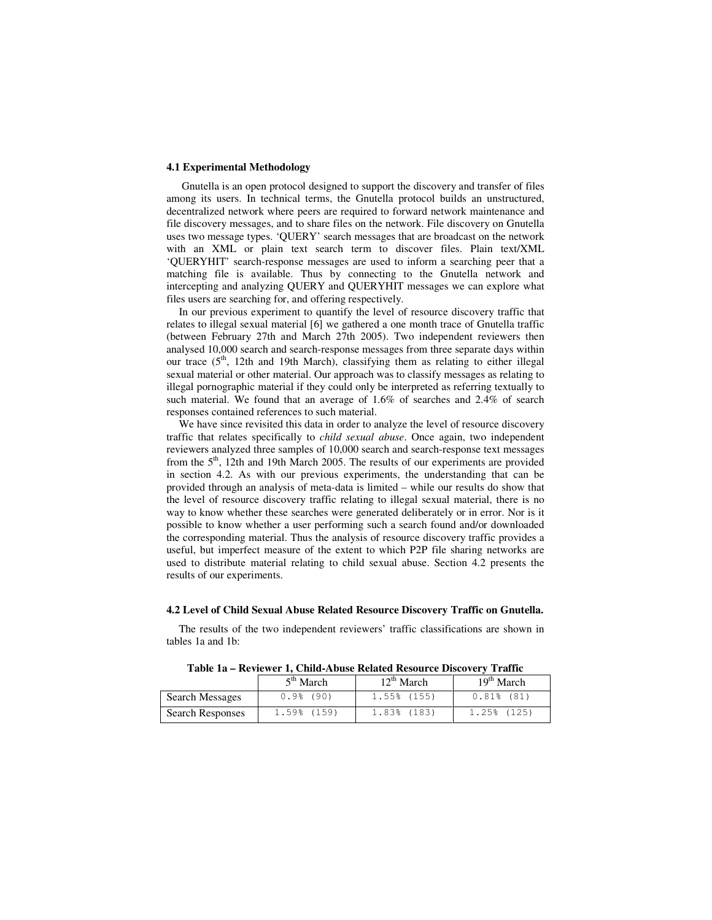### **4.1 Experimental Methodology**

 Gnutella is an open protocol designed to support the discovery and transfer of files among its users. In technical terms, the Gnutella protocol builds an unstructured, decentralized network where peers are required to forward network maintenance and file discovery messages, and to share files on the network. File discovery on Gnutella uses two message types. 'QUERY' search messages that are broadcast on the network with an XML or plain text search term to discover files. Plain text/XML 'QUERYHIT' search-response messages are used to inform a searching peer that a matching file is available. Thus by connecting to the Gnutella network and intercepting and analyzing QUERY and QUERYHIT messages we can explore what files users are searching for, and offering respectively.

In our previous experiment to quantify the level of resource discovery traffic that relates to illegal sexual material [6] we gathered a one month trace of Gnutella traffic (between February 27th and March 27th 2005). Two independent reviewers then analysed 10,000 search and search-response messages from three separate days within our trace  $(5<sup>th</sup>, 12th)$  and 19th March), classifying them as relating to either illegal sexual material or other material. Our approach was to classify messages as relating to illegal pornographic material if they could only be interpreted as referring textually to such material. We found that an average of 1.6% of searches and 2.4% of search responses contained references to such material.

We have since revisited this data in order to analyze the level of resource discovery traffic that relates specifically to *child sexual abuse*. Once again, two independent reviewers analyzed three samples of 10,000 search and search-response text messages from the 5<sup>th</sup>, 12th and 19th March 2005. The results of our experiments are provided in section 4.2. As with our previous experiments, the understanding that can be provided through an analysis of meta-data is limited – while our results do show that the level of resource discovery traffic relating to illegal sexual material, there is no way to know whether these searches were generated deliberately or in error. Nor is it possible to know whether a user performing such a search found and/or downloaded the corresponding material. Thus the analysis of resource discovery traffic provides a useful, but imperfect measure of the extent to which P2P file sharing networks are used to distribute material relating to child sexual abuse. Section 4.2 presents the results of our experiments.

#### **4.2 Level of Child Sexual Abuse Related Resource Discovery Traffic on Gnutella.**

The results of the two independent reviewers' traffic classifications are shown in tables 1a and 1b:

|                         | $5th$ March   | $12^{th}$ March | $19th$ March   |  |  |  |
|-------------------------|---------------|-----------------|----------------|--|--|--|
| Search Messages         | $0.9%$ (90)   | $1.55\%$ (155)  | $0.81\$ $(81)$ |  |  |  |
| <b>Search Responses</b> | $1.59%$ (159) | $1.83%$ (183)   | $1.25\%$ (125) |  |  |  |

**Table 1a – Reviewer 1, Child-Abuse Related Resource Discovery Traffic**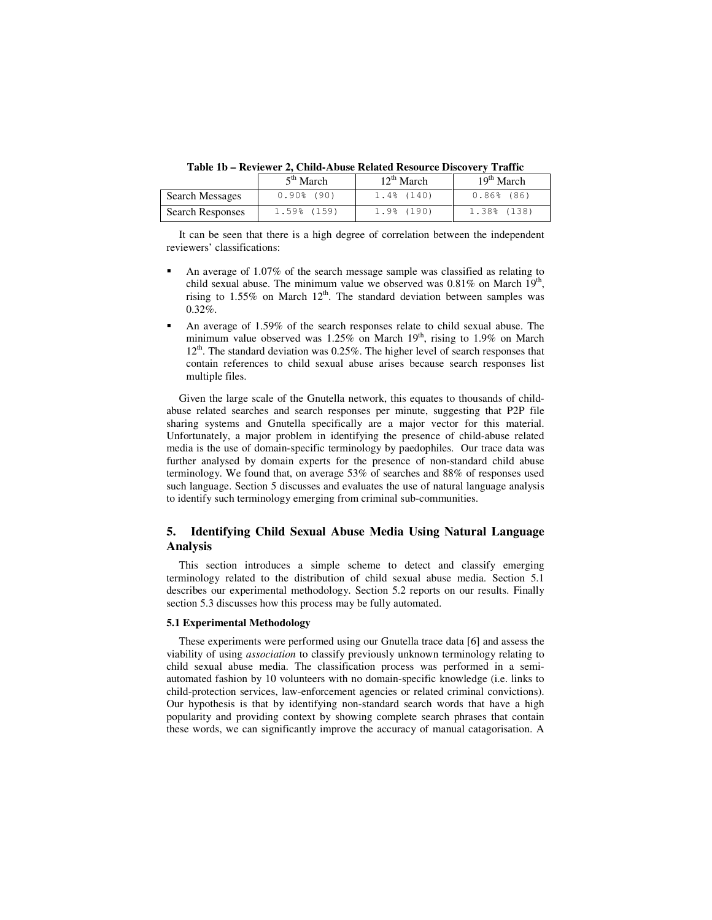**Table 1b – Reviewer 2, Child-Abuse Related Resource Discovery Traffic** 

|                         | $5th$ March   | $12^{th}$ March | $19th$ March  |  |  |  |
|-------------------------|---------------|-----------------|---------------|--|--|--|
| Search Messages         | $0.90\%$ (90) | $1.4\%$ (140)   | $0.86\%$ (86) |  |  |  |
| <b>Search Responses</b> | $1.59%$ (159) | $1.9%$ (190)    | 1.38% (138)   |  |  |  |

It can be seen that there is a high degree of correlation between the independent reviewers' classifications:

- An average of 1.07% of the search message sample was classified as relating to child sexual abuse. The minimum value we observed was  $0.81\%$  on March  $19<sup>th</sup>$ , rising to 1.55% on March  $12<sup>th</sup>$ . The standard deviation between samples was  $0.32\%$ .
- An average of 1.59% of the search responses relate to child sexual abuse. The minimum value observed was 1.25% on March  $19<sup>th</sup>$ , rising to 1.9% on March 12<sup>th</sup>. The standard deviation was 0.25%. The higher level of search responses that contain references to child sexual abuse arises because search responses list multiple files.

Given the large scale of the Gnutella network, this equates to thousands of childabuse related searches and search responses per minute, suggesting that P2P file sharing systems and Gnutella specifically are a major vector for this material. Unfortunately, a major problem in identifying the presence of child-abuse related media is the use of domain-specific terminology by paedophiles. Our trace data was further analysed by domain experts for the presence of non-standard child abuse terminology. We found that, on average 53% of searches and 88% of responses used such language. Section 5 discusses and evaluates the use of natural language analysis to identify such terminology emerging from criminal sub-communities.

## **5. Identifying Child Sexual Abuse Media Using Natural Language Analysis**

This section introduces a simple scheme to detect and classify emerging terminology related to the distribution of child sexual abuse media. Section 5.1 describes our experimental methodology. Section 5.2 reports on our results. Finally section 5.3 discusses how this process may be fully automated.

#### **5.1 Experimental Methodology**

These experiments were performed using our Gnutella trace data [6] and assess the viability of using *association* to classify previously unknown terminology relating to child sexual abuse media. The classification process was performed in a semiautomated fashion by 10 volunteers with no domain-specific knowledge (i.e. links to child-protection services, law-enforcement agencies or related criminal convictions). Our hypothesis is that by identifying non-standard search words that have a high popularity and providing context by showing complete search phrases that contain these words, we can significantly improve the accuracy of manual catagorisation. A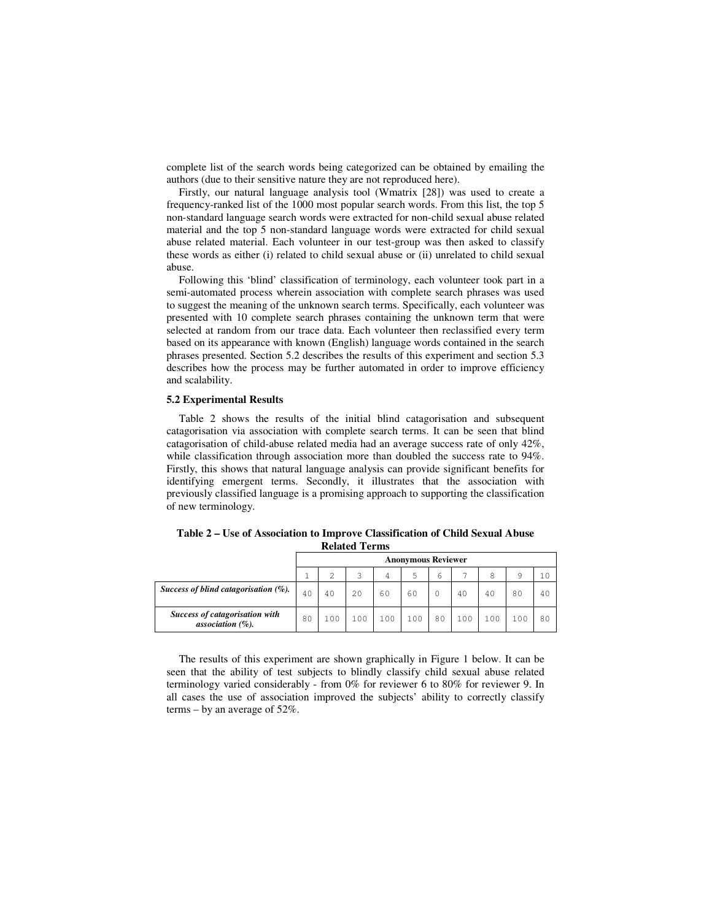complete list of the search words being categorized can be obtained by emailing the authors (due to their sensitive nature they are not reproduced here).

Firstly, our natural language analysis tool (Wmatrix [28]) was used to create a frequency-ranked list of the 1000 most popular search words. From this list, the top 5 non-standard language search words were extracted for non-child sexual abuse related material and the top 5 non-standard language words were extracted for child sexual abuse related material. Each volunteer in our test-group was then asked to classify these words as either (i) related to child sexual abuse or (ii) unrelated to child sexual abuse.

Following this 'blind' classification of terminology, each volunteer took part in a semi-automated process wherein association with complete search phrases was used to suggest the meaning of the unknown search terms. Specifically, each volunteer was presented with 10 complete search phrases containing the unknown term that were selected at random from our trace data. Each volunteer then reclassified every term based on its appearance with known (English) language words contained in the search phrases presented. Section 5.2 describes the results of this experiment and section 5.3 describes how the process may be further automated in order to improve efficiency and scalability.

## **5.2 Experimental Results**

Table 2 shows the results of the initial blind catagorisation and subsequent catagorisation via association with complete search terms. It can be seen that blind catagorisation of child-abuse related media had an average success rate of only 42%, while classification through association more than doubled the success rate to 94%. Firstly, this shows that natural language analysis can provide significant benefits for identifying emergent terms. Secondly, it illustrates that the association with previously classified language is a promising approach to supporting the classification of new terminology.

|                                                       | <b>Anonymous Reviewer</b> |     |     |    |     |    |     |     |     |     |
|-------------------------------------------------------|---------------------------|-----|-----|----|-----|----|-----|-----|-----|-----|
|                                                       |                           |     |     | 4  | 5   | 6  |     | 8   | 9   | 1 C |
| Success of blind catagorisation $(\%)$ .              | 40                        | 40  | 20  | 60 | 60  |    | 40  | 40  | 80  | 40  |
| Success of catagorisation with<br>association $(\%).$ | 80                        | 100 | 100 | 00 | 100 | 80 | 100 | 100 | 100 | 80  |

**Table 2 – Use of Association to Improve Classification of Child Sexual Abuse Related Terms** 

The results of this experiment are shown graphically in Figure 1 below. It can be seen that the ability of test subjects to blindly classify child sexual abuse related terminology varied considerably - from 0% for reviewer 6 to 80% for reviewer 9. In all cases the use of association improved the subjects' ability to correctly classify terms – by an average of 52%.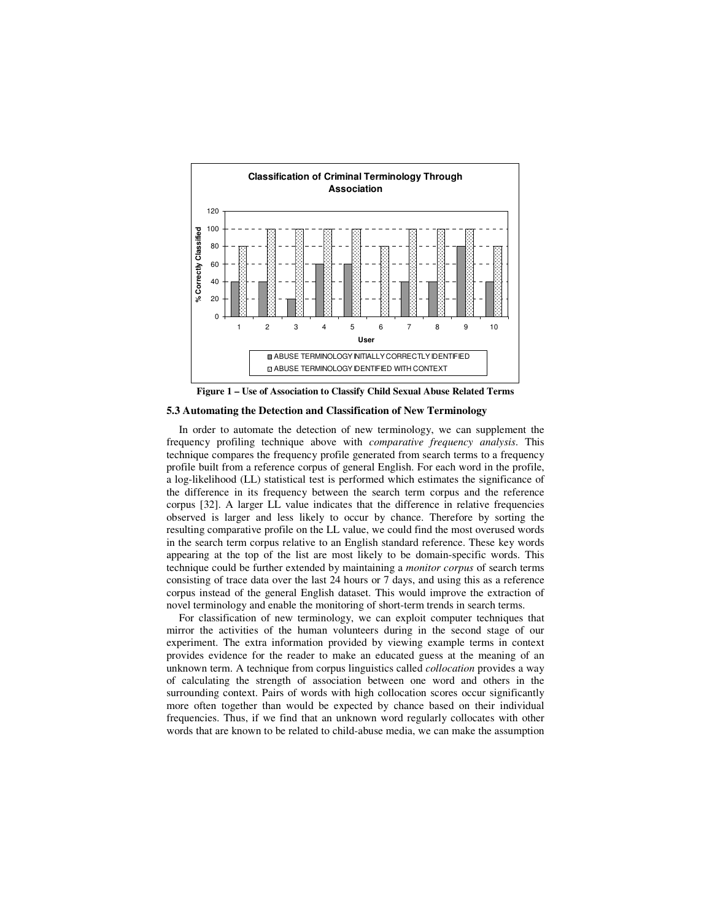

**Figure 1 – Use of Association to Classify Child Sexual Abuse Related Terms** 

## **5.3 Automating the Detection and Classification of New Terminology**

In order to automate the detection of new terminology, we can supplement the frequency profiling technique above with *comparative frequency analysis*. This technique compares the frequency profile generated from search terms to a frequency profile built from a reference corpus of general English. For each word in the profile, a log-likelihood (LL) statistical test is performed which estimates the significance of the difference in its frequency between the search term corpus and the reference corpus [32]. A larger LL value indicates that the difference in relative frequencies observed is larger and less likely to occur by chance. Therefore by sorting the resulting comparative profile on the LL value, we could find the most overused words in the search term corpus relative to an English standard reference. These key words appearing at the top of the list are most likely to be domain-specific words. This technique could be further extended by maintaining a *monitor corpus* of search terms consisting of trace data over the last 24 hours or 7 days, and using this as a reference corpus instead of the general English dataset. This would improve the extraction of novel terminology and enable the monitoring of short-term trends in search terms.

For classification of new terminology, we can exploit computer techniques that mirror the activities of the human volunteers during in the second stage of our experiment. The extra information provided by viewing example terms in context provides evidence for the reader to make an educated guess at the meaning of an unknown term. A technique from corpus linguistics called *collocation* provides a way of calculating the strength of association between one word and others in the surrounding context. Pairs of words with high collocation scores occur significantly more often together than would be expected by chance based on their individual frequencies. Thus, if we find that an unknown word regularly collocates with other words that are known to be related to child-abuse media, we can make the assumption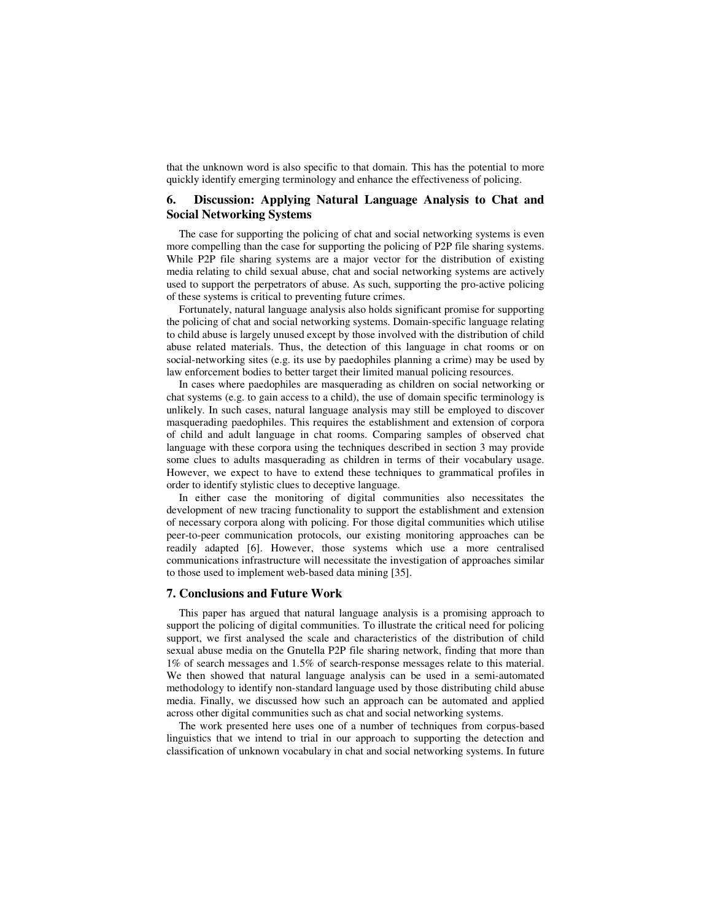that the unknown word is also specific to that domain. This has the potential to more quickly identify emerging terminology and enhance the effectiveness of policing.

## **6. Discussion: Applying Natural Language Analysis to Chat and Social Networking Systems**

The case for supporting the policing of chat and social networking systems is even more compelling than the case for supporting the policing of P2P file sharing systems. While P2P file sharing systems are a major vector for the distribution of existing media relating to child sexual abuse, chat and social networking systems are actively used to support the perpetrators of abuse. As such, supporting the pro-active policing of these systems is critical to preventing future crimes.

Fortunately, natural language analysis also holds significant promise for supporting the policing of chat and social networking systems. Domain-specific language relating to child abuse is largely unused except by those involved with the distribution of child abuse related materials. Thus, the detection of this language in chat rooms or on social-networking sites (e.g. its use by paedophiles planning a crime) may be used by law enforcement bodies to better target their limited manual policing resources.

In cases where paedophiles are masquerading as children on social networking or chat systems (e.g. to gain access to a child), the use of domain specific terminology is unlikely. In such cases, natural language analysis may still be employed to discover masquerading paedophiles. This requires the establishment and extension of corpora of child and adult language in chat rooms. Comparing samples of observed chat language with these corpora using the techniques described in section 3 may provide some clues to adults masquerading as children in terms of their vocabulary usage. However, we expect to have to extend these techniques to grammatical profiles in order to identify stylistic clues to deceptive language.

In either case the monitoring of digital communities also necessitates the development of new tracing functionality to support the establishment and extension of necessary corpora along with policing. For those digital communities which utilise peer-to-peer communication protocols, our existing monitoring approaches can be readily adapted [6]. However, those systems which use a more centralised communications infrastructure will necessitate the investigation of approaches similar to those used to implement web-based data mining [35].

## **7. Conclusions and Future Work**

This paper has argued that natural language analysis is a promising approach to support the policing of digital communities. To illustrate the critical need for policing support, we first analysed the scale and characteristics of the distribution of child sexual abuse media on the Gnutella P2P file sharing network, finding that more than 1% of search messages and 1.5% of search-response messages relate to this material. We then showed that natural language analysis can be used in a semi-automated methodology to identify non-standard language used by those distributing child abuse media. Finally, we discussed how such an approach can be automated and applied across other digital communities such as chat and social networking systems.

The work presented here uses one of a number of techniques from corpus-based linguistics that we intend to trial in our approach to supporting the detection and classification of unknown vocabulary in chat and social networking systems. In future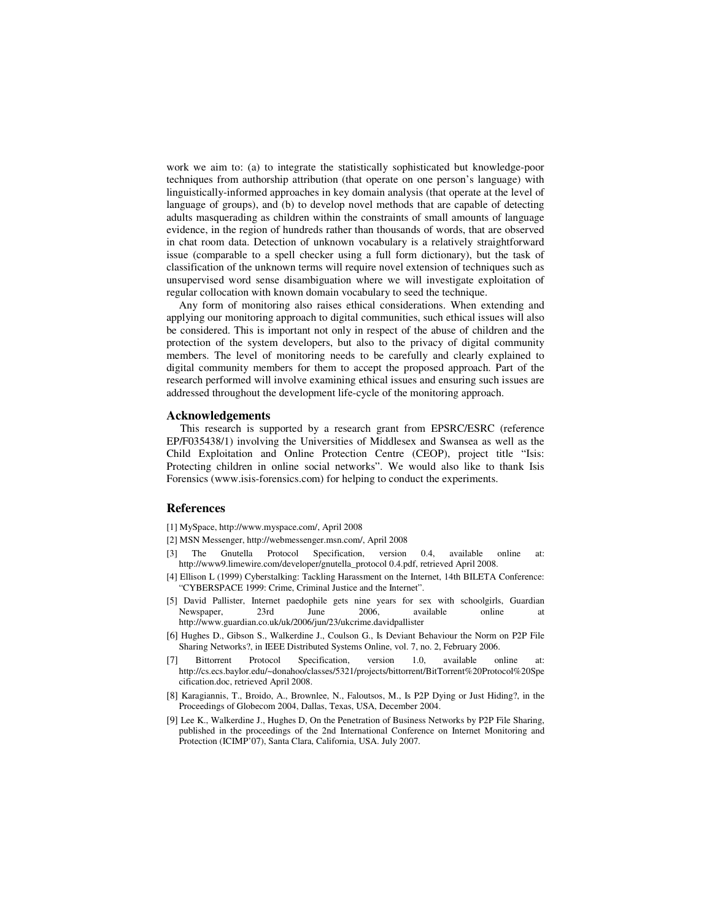work we aim to: (a) to integrate the statistically sophisticated but knowledge-poor techniques from authorship attribution (that operate on one person's language) with linguistically-informed approaches in key domain analysis (that operate at the level of language of groups), and (b) to develop novel methods that are capable of detecting adults masquerading as children within the constraints of small amounts of language evidence, in the region of hundreds rather than thousands of words, that are observed in chat room data. Detection of unknown vocabulary is a relatively straightforward issue (comparable to a spell checker using a full form dictionary), but the task of classification of the unknown terms will require novel extension of techniques such as unsupervised word sense disambiguation where we will investigate exploitation of regular collocation with known domain vocabulary to seed the technique.

Any form of monitoring also raises ethical considerations. When extending and applying our monitoring approach to digital communities, such ethical issues will also be considered. This is important not only in respect of the abuse of children and the protection of the system developers, but also to the privacy of digital community members. The level of monitoring needs to be carefully and clearly explained to digital community members for them to accept the proposed approach. Part of the research performed will involve examining ethical issues and ensuring such issues are addressed throughout the development life-cycle of the monitoring approach.

#### **Acknowledgements**

 This research is supported by a research grant from EPSRC/ESRC (reference EP/F035438/1) involving the Universities of Middlesex and Swansea as well as the Child Exploitation and Online Protection Centre (CEOP), project title "Isis: Protecting children in online social networks". We would also like to thank Isis Forensics (www.isis-forensics.com) for helping to conduct the experiments.

#### **References**

[1] MySpace, http://www.myspace.com/, April 2008

- [2] MSN Messenger, http://webmessenger.msn.com/, April 2008
- [3] The Gnutella Protocol Specification, version 0.4, available online at: http://www9.limewire.com/developer/gnutella\_protocol 0.4.pdf, retrieved April 2008.
- [4] Ellison L (1999) Cyberstalking: Tackling Harassment on the Internet, 14th BILETA Conference: "CYBERSPACE 1999: Crime, Criminal Justice and the Internet".
- [5] David Pallister, Internet paedophile gets nine years for sex with schoolgirls, Guardian Newspaper, 23rd June 2006, available online at http://www.guardian.co.uk/uk/2006/jun/23/ukcrime.davidpallister
- [6] Hughes D., Gibson S., Walkerdine J., Coulson G., Is Deviant Behaviour the Norm on P2P File Sharing Networks?, in IEEE Distributed Systems Online, vol. 7, no. 2, February 2006.
- [7] Bittorrent Protocol Specification, version 1.0, available online at: http://cs.ecs.baylor.edu/~donahoo/classes/5321/projects/bittorrent/BitTorrent%20Protocol%20Spe cification.doc, retrieved April 2008.
- [8] Karagiannis, T., Broido, A., Brownlee, N., Faloutsos, M., Is P2P Dying or Just Hiding?, in the Proceedings of Globecom 2004, Dallas, Texas, USA, December 2004.
- [9] Lee K., Walkerdine J., Hughes D, On the Penetration of Business Networks by P2P File Sharing, published in the proceedings of the 2nd International Conference on Internet Monitoring and Protection (ICIMP'07), Santa Clara, California, USA. July 2007.